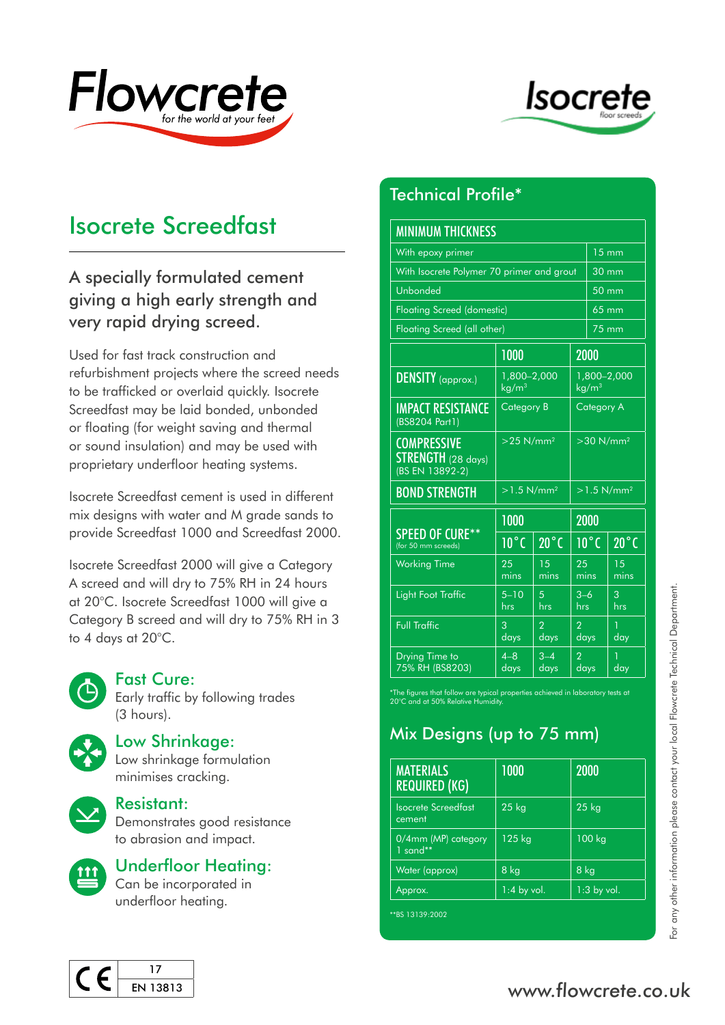



# Isocrete Screedfast

### A specially formulated cement giving a high early strength and very rapid drying screed.

Used for fast track construction and refurbishment projects where the screed needs to be trafficked or overlaid quickly. Isocrete Screedfast may be laid bonded, unbonded or floating (for weight saving and thermal or sound insulation) and may be used with proprietary underfloor heating systems.

Isocrete Screedfast cement is used in different mix designs with water and M grade sands to provide Screedfast 1000 and Screedfast 2000.

Isocrete Screedfast 2000 will give a Category A screed and will dry to 75% RH in 24 hours at 20°C. Isocrete Screedfast 1000 will give a Category B screed and will dry to 75% RH in 3 to 4 days at 20°C.



#### Fast Cure:

Early traffic by following trades (3 hours).



### Low Shrinkage:

Low shrinkage formulation minimises cracking.



#### Resistant:

Demonstrates good resistance to abrasion and impact.



### Underfloor Heating:

Can be incorporated in underfloor heating.

# Technical Profile\*

| <b>MINIMUM THICKNESS</b>                                      |                                  |                        |                                  |                 |                           |
|---------------------------------------------------------------|----------------------------------|------------------------|----------------------------------|-----------------|---------------------------|
| With epoxy primer                                             |                                  |                        |                                  | <b>15 mm</b>    |                           |
| With Isocrete Polymer 70 primer and grout                     |                                  |                        |                                  | $30 \text{ mm}$ |                           |
| Unbonded                                                      |                                  |                        |                                  | $50 \text{ mm}$ |                           |
| <b>Floating Screed (domestic)</b>                             |                                  |                        |                                  | 65 mm           |                           |
| Floating Screed (all other)                                   |                                  |                        |                                  | 75 mm           |                           |
|                                                               | 1000                             |                        |                                  | 2000            |                           |
| DENSITY (approx.)                                             | 1,800-2,000<br>kg/m <sup>3</sup> |                        | 1,800-2,000<br>kg/m <sup>3</sup> |                 |                           |
| <b>IMPACT RESISTANCE</b><br>(BS8204 Part1)                    | <b>Category B</b>                |                        | Category A                       |                 |                           |
| <b>COMPRESSIVE</b><br>$STRENGTH$ (28 days)<br>(BS EN 13892-2) | $>25$ N/mm <sup>2</sup>          |                        | $>$ 30 N/mm <sup>2</sup>         |                 |                           |
| <b>BOND STRENGTH</b>                                          | $>1.5$ N/mm <sup>2</sup>         |                        | $>1.5$ N/mm <sup>2</sup>         |                 |                           |
|                                                               | 1000                             |                        | 2000                             |                 |                           |
| SPEED OF CURE**<br>(for 50 mm screeds)                        | $\overline{10^{\circ}}$ C        | $20^{\circ}$ C         | $10^{\circ}$ C                   |                 | $\overline{20^{\circ}}$ C |
| <b>Working Time</b>                                           | 25<br>mins                       | 15<br>mins             | 25<br>mins                       |                 | 1.5<br>mins               |
| <b>Light Foot Traffic</b>                                     | $5 - 10$<br>hrs                  | $\overline{5}$<br>hrs  | $3 - 6$<br>hrs.                  |                 | 3<br>hrs                  |
| <b>Full Traffic</b>                                           | 3<br>days                        | $\overline{2}$<br>days | $\overline{2}$<br>days           |                 | 1<br>day                  |
| Drying Time to<br>75% RH (BS8203)                             | $4 - 8$<br>days                  | $3 - 4$<br>days        | $\overline{2}$<br>days           |                 | 1<br>day                  |

# Mix Designs (up to 75 mm)

|                                                                                                                                                    | $5 - 10$<br>hrs       | 5<br>hrs               | $3 - 6$<br>hrs         | 3<br>hrs |
|----------------------------------------------------------------------------------------------------------------------------------------------------|-----------------------|------------------------|------------------------|----------|
| <b>Full Traffic</b>                                                                                                                                | 3<br>$\frac{d}{dy}$ s | $\overline{2}$<br>days | $\overline{2}$<br>days | day      |
| Drying Time to<br>75% RH (BS8203)                                                                                                                  | $4 - 8$<br>days       | $3 - 4$<br>days        | $\overline{2}$<br>days | day      |
| *The figures that follow are typical properties achieved in laboratory tests at<br>20°C and at 50% Relative Humidity.<br>Mix Designs (up to 75 mm) |                       |                        |                        |          |
| <b>MATERIALS</b><br><u>REQ</u> UIRED (KG)                                                                                                          | 1000                  |                        | 2000                   |          |
| <b>Isocrete Screedfast</b><br>cement                                                                                                               | $25$ kg               |                        | $25$ kg                |          |
|                                                                                                                                                    |                       |                        |                        |          |
| 0/4mm (MP) category<br>$1$ sand**                                                                                                                  | 125 kg                |                        | 100 kg                 |          |
|                                                                                                                                                    | 8 kg                  |                        | 8 kg                   |          |
| Water (approx)<br>Approx.                                                                                                                          | $1:4$ by vol.         |                        | $1:3$ by vol.          |          |